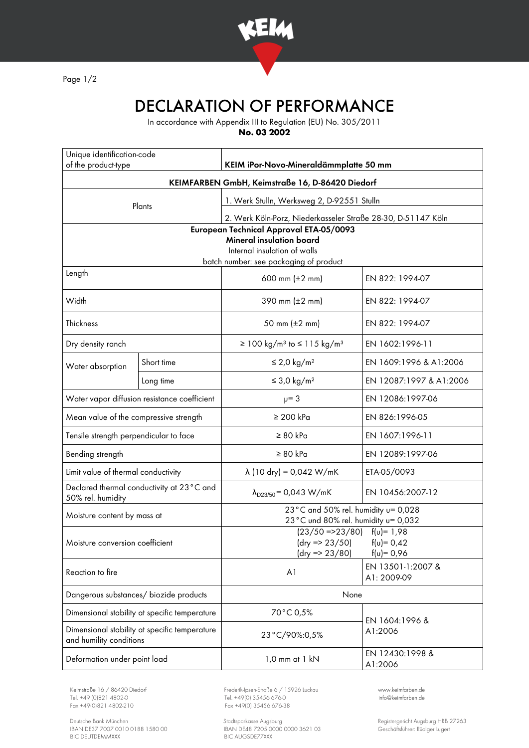

Page 1/2

## DECLARATION OF PERFORMANCE

In accordance with Appendix III to Regulation (EU) No. 305/2011

**No. 03 2002**

| Unique identification-code<br>of the product-type                                                                                                    |            | KEIM iPor-Novo-Mineraldämmplatte 50 mm                                                                           |                                  |
|------------------------------------------------------------------------------------------------------------------------------------------------------|------------|------------------------------------------------------------------------------------------------------------------|----------------------------------|
| KEIMFARBEN GmbH, Keimstraße 16, D-86420 Diedorf                                                                                                      |            |                                                                                                                  |                                  |
| Plants                                                                                                                                               |            | 1. Werk Stulln, Werksweg 2, D-92551 Stulln                                                                       |                                  |
|                                                                                                                                                      |            | 2. Werk Köln-Porz, Niederkasseler Straße 28-30, D-51147 Köln                                                     |                                  |
| European Technical Approval ETA-05/0093<br><b>Mineral insulation board</b><br>Internal insulation of walls<br>batch number: see packaging of product |            |                                                                                                                  |                                  |
| Length                                                                                                                                               |            | 600 mm $(\pm 2 \, \text{mm})$                                                                                    | EN 822: 1994-07                  |
| Width                                                                                                                                                |            | 390 mm $(\pm 2 \, \text{mm})$                                                                                    | EN 822: 1994-07                  |
| Thickness                                                                                                                                            |            | 50 mm (±2 mm)                                                                                                    | EN 822: 1994-07                  |
| Dry density ranch                                                                                                                                    |            | ≥ 100 kg/m <sup>3</sup> to $≤$ 115 kg/m <sup>3</sup>                                                             | EN 1602:1996-11                  |
| Water absorption                                                                                                                                     | Short time | $\leq$ 2,0 kg/m <sup>2</sup>                                                                                     | EN 1609:1996 & A1:2006           |
|                                                                                                                                                      | Long time  | $\leq$ 3,0 kg/m <sup>2</sup>                                                                                     | EN 12087:1997 & A1:2006          |
| Water vapor diffusion resistance coefficient                                                                                                         |            | $\mu = 3$                                                                                                        | EN 12086:1997-06                 |
| Mean value of the compressive strength                                                                                                               |            | $\geq 200$ kPa                                                                                                   | EN 826:1996-05                   |
| Tensile strength perpendicular to face                                                                                                               |            | $\geq 80$ kPa                                                                                                    | EN 1607:1996-11                  |
| Bending strength                                                                                                                                     |            | $\geq 80$ kPa                                                                                                    | EN 12089:1997-06                 |
| Limit value of thermal conductivity                                                                                                                  |            | $\lambda$ (10 dry) = 0,042 W/mK                                                                                  | ETA-05/0093                      |
| Declared thermal conductivity at 23°C and<br>50% rel. humidity                                                                                       |            | $\lambda_{D23/50}$ = 0,043 W/mK                                                                                  | EN 10456:2007-12                 |
| Moisture content by mass at                                                                                                                          |            | 23°C and 50% rel. humidity u= 0,028<br>23°C und 80% rel. humidity u= 0,032                                       |                                  |
| Moisture conversion coefficient                                                                                                                      |            | $(23/50 = 23/80)$ $f(u) = 1.98$<br>$(dry = 23/50)$<br>$f(v) = 0,42$<br>$f(u) = 0,96$<br>$\frac{dy}{3}$ => 23/80) |                                  |
| Reaction to fire                                                                                                                                     |            | A <sub>1</sub>                                                                                                   | EN 13501-1:2007 &<br>A1: 2009-09 |
| Dangerous substances/ biozide products                                                                                                               |            | None                                                                                                             |                                  |
| Dimensional stability at specific temperature                                                                                                        |            | 70°C 0,5%                                                                                                        | EN 1604:1996 &<br>A1:2006        |
| Dimensional stability at specific temperature<br>and humility conditions                                                                             |            | 23°C/90%:0,5%                                                                                                    |                                  |
| Deformation under point load                                                                                                                         |            | 1,0 mm at 1 kN                                                                                                   | EN 12430:1998 &<br>A1:2006       |

Tel. +49 (0)821 4802-0 Tel. +49 (0) 35456 676-0 Fox +49 (0) 821 4802-0 info@ex +49 (0) 35456 676-38

Deutsche Bank München Stadtsparkasse Augsburg Registergericht Augsburg HRB 27263 IBAN DE37 7007 0010 0188 1580 00 IBAN DE48 7205 0000 0000 3621 03 Geschäftsführer: Rüdiger Lugert BIC DEUTDEMMXXX BIC AUGSDE77XXX

Keimstraße 16 / 86420 Diedorf Frederik-Ipsen-Straße 6 / 15926 Luckau [www.keimfarben.de](http://www.keimfarben.de/)  $Fax + 49(0)35456676-38$